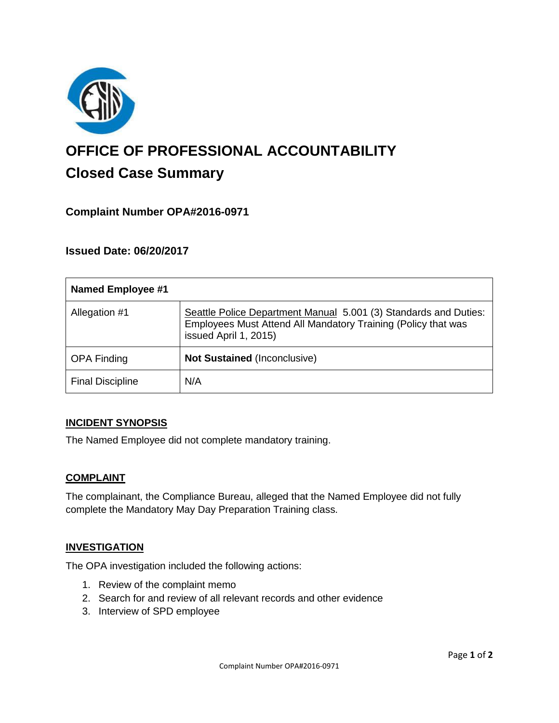

# **OFFICE OF PROFESSIONAL ACCOUNTABILITY Closed Case Summary**

## **Complaint Number OPA#2016-0971**

## **Issued Date: 06/20/2017**

| <b>Named Employee #1</b> |                                                                                                                                                            |
|--------------------------|------------------------------------------------------------------------------------------------------------------------------------------------------------|
| Allegation #1            | Seattle Police Department Manual 5.001 (3) Standards and Duties:<br>Employees Must Attend All Mandatory Training (Policy that was<br>issued April 1, 2015) |
| <b>OPA Finding</b>       | <b>Not Sustained (Inconclusive)</b>                                                                                                                        |
| <b>Final Discipline</b>  | N/A                                                                                                                                                        |

#### **INCIDENT SYNOPSIS**

The Named Employee did not complete mandatory training.

#### **COMPLAINT**

The complainant, the Compliance Bureau, alleged that the Named Employee did not fully complete the Mandatory May Day Preparation Training class.

#### **INVESTIGATION**

The OPA investigation included the following actions:

- 1. Review of the complaint memo
- 2. Search for and review of all relevant records and other evidence
- 3. Interview of SPD employee